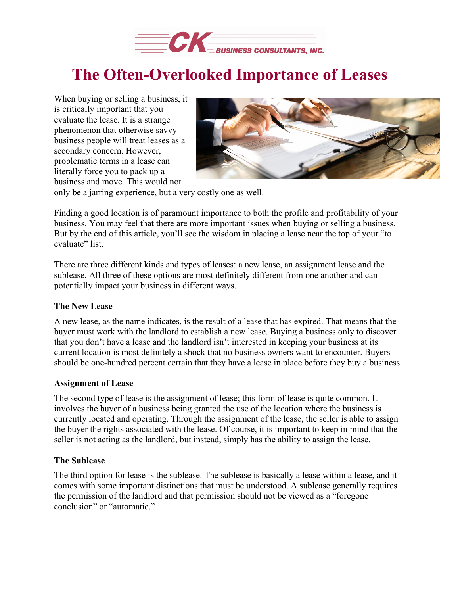

# **The Often-Overlooked Importance of Leases**

When buying or selling a business, it is critically important that you evaluate the lease. It is a strange phenomenon that otherwise savvy business people will treat leases as a secondary concern. However, problematic terms in a lease can literally force you to pack up a business and move. This would not



only be a jarring experience, but a very costly one as well.

Finding a good location is of paramount importance to both the profile and profitability of your business. You may feel that there are more important issues when buying or selling a business. But by the end of this article, you'll see the wisdom in placing a lease near the top of your "to evaluate" list.

There are three different kinds and types of leases: a new lease, an assignment lease and the sublease. All three of these options are most definitely different from one another and can potentially impact your business in different ways.

#### **The New Lease**

A new lease, as the name indicates, is the result of a lease that has expired. That means that the buyer must work with the landlord to establish a new lease. Buying a business only to discover that you don't have a lease and the landlord isn't interested in keeping your business at its current location is most definitely a shock that no business owners want to encounter. Buyers should be one-hundred percent certain that they have a lease in place before they buy a business.

#### **Assignment of Lease**

The second type of lease is the assignment of lease; this form of lease is quite common. It involves the buyer of a business being granted the use of the location where the business is currently located and operating. Through the assignment of the lease, the seller is able to assign the buyer the rights associated with the lease. Of course, it is important to keep in mind that the seller is not acting as the landlord, but instead, simply has the ability to assign the lease.

#### **The Sublease**

The third option for lease is the sublease. The sublease is basically a lease within a lease, and it comes with some important distinctions that must be understood. A sublease generally requires the permission of the landlord and that permission should not be viewed as a "foregone conclusion" or "automatic."